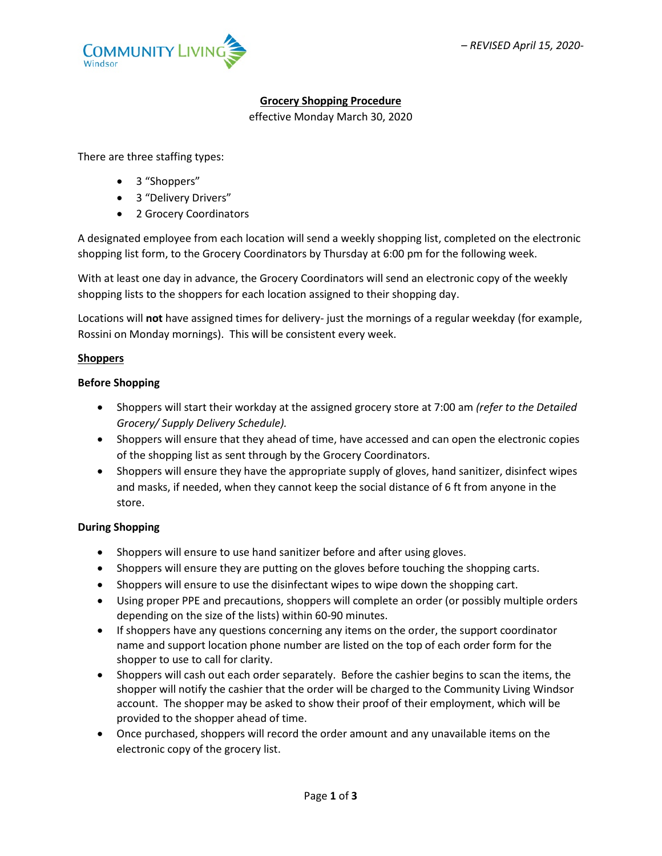

# **Grocery Shopping Procedure**

effective Monday March 30, 2020

There are three staffing types:

- 3 "Shoppers"
- 3 "Delivery Drivers"
- 2 Grocery Coordinators

A designated employee from each location will send a weekly shopping list, completed on the electronic shopping list form, to the Grocery Coordinators by Thursday at 6:00 pm for the following week.

With at least one day in advance, the Grocery Coordinators will send an electronic copy of the weekly shopping lists to the shoppers for each location assigned to their shopping day.

Locations will **not** have assigned times for delivery- just the mornings of a regular weekday (for example, Rossini on Monday mornings). This will be consistent every week.

#### **Shoppers**

# **Before Shopping**

- Shoppers will start their workday at the assigned grocery store at 7:00 am *(refer to the Detailed Grocery/ Supply Delivery Schedule).*
- Shoppers will ensure that they ahead of time, have accessed and can open the electronic copies of the shopping list as sent through by the Grocery Coordinators.
- Shoppers will ensure they have the appropriate supply of gloves, hand sanitizer, disinfect wipes and masks, if needed, when they cannot keep the social distance of 6 ft from anyone in the store.

#### **During Shopping**

- Shoppers will ensure to use hand sanitizer before and after using gloves.
- Shoppers will ensure they are putting on the gloves before touching the shopping carts.
- Shoppers will ensure to use the disinfectant wipes to wipe down the shopping cart.
- Using proper PPE and precautions, shoppers will complete an order (or possibly multiple orders depending on the size of the lists) within 60-90 minutes.
- If shoppers have any questions concerning any items on the order, the support coordinator name and support location phone number are listed on the top of each order form for the shopper to use to call for clarity.
- Shoppers will cash out each order separately. Before the cashier begins to scan the items, the shopper will notify the cashier that the order will be charged to the Community Living Windsor account. The shopper may be asked to show their proof of their employment, which will be provided to the shopper ahead of time.
- Once purchased, shoppers will record the order amount and any unavailable items on the electronic copy of the grocery list.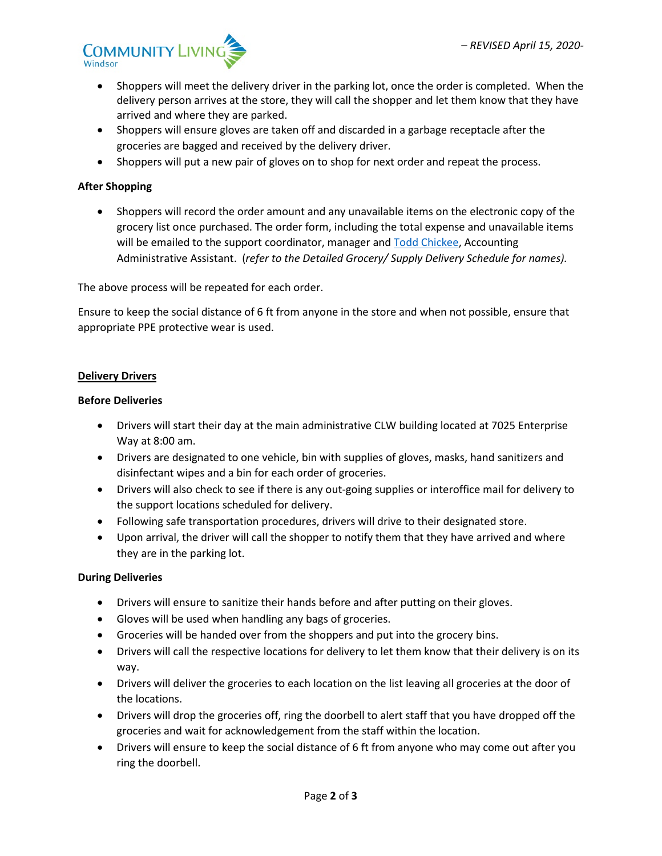

- Shoppers will meet the delivery driver in the parking lot, once the order is completed. When the delivery person arrives at the store, they will call the shopper and let them know that they have arrived and where they are parked.
- Shoppers will ensure gloves are taken off and discarded in a garbage receptacle after the groceries are bagged and received by the delivery driver.
- Shoppers will put a new pair of gloves on to shop for next order and repeat the process.

## **After Shopping**

• Shoppers will record the order amount and any unavailable items on the electronic copy of the grocery list once purchased. The order form, including the total expense and unavailable items will be emailed to the support coordinator, manager and [Todd Chickee,](mailto:todd@clwindsor.org) Accounting Administrative Assistant. (*refer to the Detailed Grocery/ Supply Delivery Schedule for names).*

The above process will be repeated for each order.

Ensure to keep the social distance of 6 ft from anyone in the store and when not possible, ensure that appropriate PPE protective wear is used.

#### **Delivery Drivers**

#### **Before Deliveries**

- Drivers will start their day at the main administrative CLW building located at 7025 Enterprise Way at 8:00 am.
- Drivers are designated to one vehicle, bin with supplies of gloves, masks, hand sanitizers and disinfectant wipes and a bin for each order of groceries.
- Drivers will also check to see if there is any out-going supplies or interoffice mail for delivery to the support locations scheduled for delivery.
- Following safe transportation procedures, drivers will drive to their designated store.
- Upon arrival, the driver will call the shopper to notify them that they have arrived and where they are in the parking lot.

#### **During Deliveries**

- Drivers will ensure to sanitize their hands before and after putting on their gloves.
- Gloves will be used when handling any bags of groceries.
- Groceries will be handed over from the shoppers and put into the grocery bins.
- Drivers will call the respective locations for delivery to let them know that their delivery is on its way.
- Drivers will deliver the groceries to each location on the list leaving all groceries at the door of the locations.
- Drivers will drop the groceries off, ring the doorbell to alert staff that you have dropped off the groceries and wait for acknowledgement from the staff within the location.
- Drivers will ensure to keep the social distance of 6 ft from anyone who may come out after you ring the doorbell.